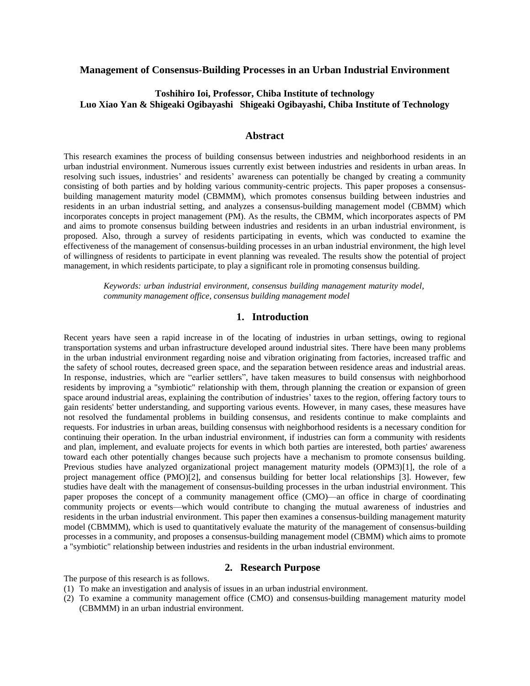# **Management of Consensus-Building Processes in an Urban Industrial Environment**

# **Toshihiro Ioi, Professor, Chiba Institute of technology Luo Xiao Yan & Shigeaki Ogibayashi Shigeaki Ogibayashi, Chiba Institute of Technology**

## **Abstract**

This research examines the process of building consensus between industries and neighborhood residents in an urban industrial environment. Numerous issues currently exist between industries and residents in urban areas. In resolving such issues, industries' and residents' awareness can potentially be changed by creating a community consisting of both parties and by holding various community-centric projects. This paper proposes a consensusbuilding management maturity model (CBMMM), which promotes consensus building between industries and residents in an urban industrial setting, and analyzes a consensus-building management model (CBMM) which incorporates concepts in project management (PM). As the results, the CBMM, which incorporates aspects of PM and aims to promote consensus building between industries and residents in an urban industrial environment, is proposed. Also, through a survey of residents participating in events, which was conducted to examine the effectiveness of the management of consensus-building processes in an urban industrial environment, the high level of willingness of residents to participate in event planning was revealed. The results show the potential of project management, in which residents participate, to play a significant role in promoting consensus building.

*Keywords: urban industrial environment, consensus building management maturity model, community management office, consensus building management model*

# **1. Introduction**

Recent years have seen a rapid increase in of the locating of industries in urban settings, owing to regional transportation systems and urban infrastructure developed around industrial sites. There have been many problems in the urban industrial environment regarding noise and vibration originating from factories, increased traffic and the safety of school routes, decreased green space, and the separation between residence areas and industrial areas. In response, industries, which are "earlier settlers", have taken measures to build consensus with neighborhood residents by improving a "symbiotic" relationship with them, through planning the creation or expansion of green space around industrial areas, explaining the contribution of industries' taxes to the region, offering factory tours to gain residents' better understanding, and supporting various events. However, in many cases, these measures have not resolved the fundamental problems in building consensus, and residents continue to make complaints and requests. For industries in urban areas, building consensus with neighborhood residents is a necessary condition for continuing their operation. In the urban industrial environment, if industries can form a community with residents and plan, implement, and evaluate projects for events in which both parties are interested, both parties' awareness toward each other potentially changes because such projects have a mechanism to promote consensus building. Previous studies have analyzed organizational project management maturity models (OPM3)[1], the role of a project management office (PMO)[2], and consensus building for better local relationships [3]. However, few studies have dealt with the management of consensus-building processes in the urban industrial environment. This paper proposes the concept of a community management office (CMO)—an office in charge of coordinating community projects or events—which would contribute to changing the mutual awareness of industries and residents in the urban industrial environment. This paper then examines a consensus-building management maturity model (CBMMM), which is used to quantitatively evaluate the maturity of the management of consensus-building processes in a community, and proposes a consensus-building management model (CBMM) which aims to promote a "symbiotic" relationship between industries and residents in the urban industrial environment.

## **2. Research Purpose**

The purpose of this research is as follows.

- (1) To make an investigation and analysis of issues in an urban industrial environment.
- (2) To examine a community management office (CMO) and consensus-building management maturity model (CBMMM) in an urban industrial environment.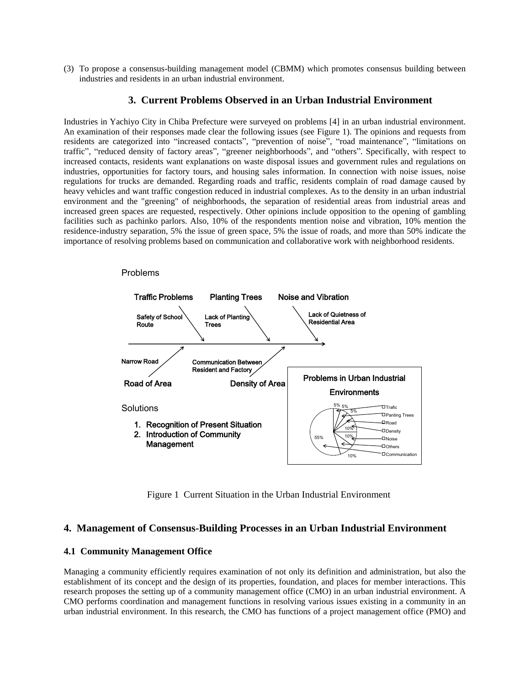(3) To propose a consensus-building management model (CBMM) which promotes consensus building between industries and residents in an urban industrial environment.

## **3. Current Problems Observed in an Urban Industrial Environment**

Industries in Yachiyo City in Chiba Prefecture were surveyed on problems [4] in an urban industrial environment. An examination of their responses made clear the following issues (see Figure 1). The opinions and requests from residents are categorized into "increased contacts", "prevention of noise", "road maintenance", "limitations on traffic", "reduced density of factory areas", "greener neighborhoods", and "others". Specifically, with respect to increased contacts, residents want explanations on waste disposal issues and government rules and regulations on industries, opportunities for factory tours, and housing sales information. In connection with noise issues, noise regulations for trucks are demanded. Regarding roads and traffic, residents complain of road damage caused by heavy vehicles and want traffic congestion reduced in industrial complexes. As to the density in an urban industrial environment and the "greening" of neighborhoods, the separation of residential areas from industrial areas and increased green spaces are requested, respectively. Other opinions include opposition to the opening of gambling facilities such as pachinko parlors. Also, 10% of the respondents mention noise and vibration, 10% mention the residence-industry separation, 5% the issue of green space, 5% the issue of roads, and more than 50% indicate the importance of resolving problems based on communication and collaborative work with neighborhood residents.



Figure 1 Current Situation in the Urban Industrial Environment

# **4. Management of Consensus-Building Processes in an Urban Industrial Environment**

#### **4.1 Community Management Office**

Managing a community efficiently requires examination of not only its definition and administration, but also the establishment of its concept and the design of its properties, foundation, and places for member interactions. This research proposes the setting up of a community management office (CMO) in an urban industrial environment. A CMO performs coordination and management functions in resolving various issues existing in a community in an urban industrial environment. In this research, the CMO has functions of a project management office (PMO) and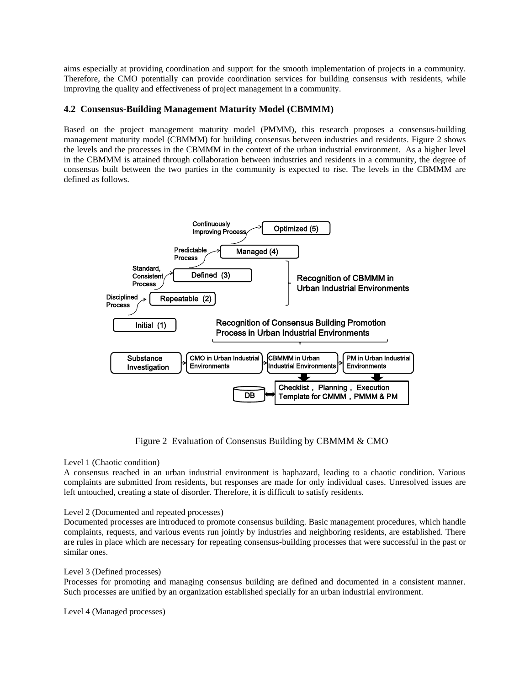aims especially at providing coordination and support for the smooth implementation of projects in a community. Therefore, the CMO potentially can provide coordination services for building consensus with residents, while improving the quality and effectiveness of project management in a community.

# **4.2 Consensus-Building Management Maturity Model (CBMMM)**

Based on the project management maturity model (PMMM), this research proposes a consensus-building management maturity model (CBMMM) for building consensus between industries and residents. Figure 2 shows the levels and the processes in the CBMMM in the context of the urban industrial environment. As a higher level in the CBMMM is attained through collaboration between industries and residents in a community, the degree of consensus built between the two parties in the community is expected to rise. The levels in the CBMMM are defined as follows.



Figure 2 Evaluation of Consensus Building by CBMMM & CMO

## Level 1 (Chaotic condition)

A consensus reached in an urban industrial environment is haphazard, leading to a chaotic condition. Various complaints are submitted from residents, but responses are made for only individual cases. Unresolved issues are left untouched, creating a state of disorder. Therefore, it is difficult to satisfy residents.

## Level 2 (Documented and repeated processes)

Documented processes are introduced to promote consensus building. Basic management procedures, which handle complaints, requests, and various events run jointly by industries and neighboring residents, are established. There are rules in place which are necessary for repeating consensus-building processes that were successful in the past or similar ones.

### Level 3 (Defined processes)

Processes for promoting and managing consensus building are defined and documented in a consistent manner. Such processes are unified by an organization established specially for an urban industrial environment.

Level 4 (Managed processes)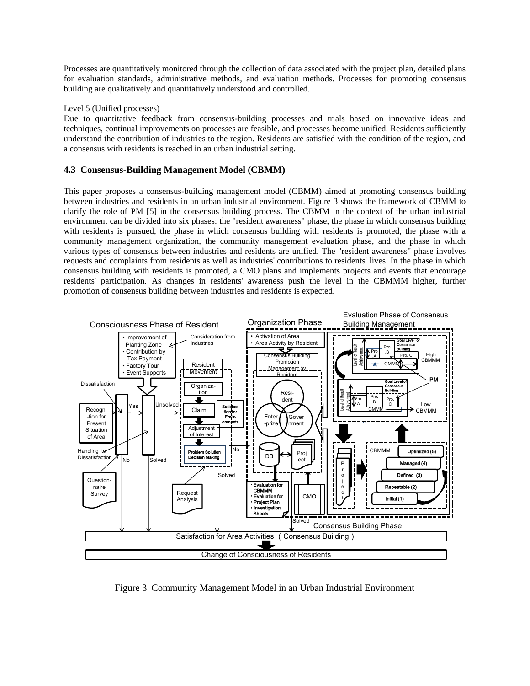Processes are quantitatively monitored through the collection of data associated with the project plan, detailed plans for evaluation standards, administrative methods, and evaluation methods. Processes for promoting consensus building are qualitatively and quantitatively understood and controlled.

#### Level 5 (Unified processes)

Due to quantitative feedback from consensus-building processes and trials based on innovative ideas and techniques, continual improvements on processes are feasible, and processes become unified. Residents sufficiently understand the contribution of industries to the region. Residents are satisfied with the condition of the region, and a consensus with residents is reached in an urban industrial setting.

## **4.3 Consensus-Building Management Model (CBMM)**

This paper proposes a consensus-building management model (CBMM) aimed at promoting consensus building between industries and residents in an urban industrial environment. Figure 3 shows the framework of CBMM to clarify the role of PM [5] in the consensus building process. The CBMM in the context of the urban industrial environment can be divided into six phases: the "resident awareness" phase, the phase in which consensus building with residents is pursued, the phase in which consensus building with residents is promoted, the phase with a community management organization, the community management evaluation phase, and the phase in which various types of consensus between industries and residents are unified. The "resident awareness" phase involves requests and complaints from residents as well as industries' contributions to residents' lives. In the phase in which consensus building with residents is promoted, a CMO plans and implements projects and events that encourage residents' participation. As changes in residents' awareness push the level in the CBMMM higher, further promotion of consensus building between industries and residents is expected.



Figure 3 Community Management Model in an Urban Industrial Environment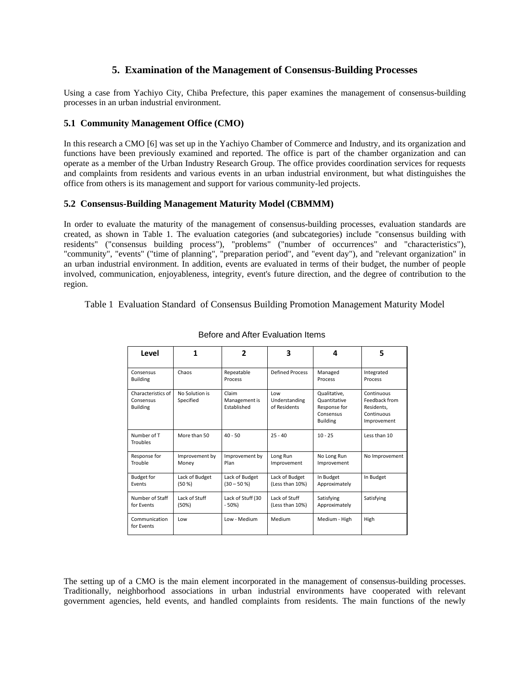# **5. Examination of the Management of Consensus-Building Processes**

Using a case from Yachiyo City, Chiba Prefecture, this paper examines the management of consensus-building processes in an urban industrial environment.

## **5.1 Community Management Office (CMO)**

In this research a CMO [6] was set up in the Yachiyo Chamber of Commerce and Industry, and its organization and functions have been previously examined and reported. The office is part of the chamber organization and can operate as a member of the Urban Industry Research Group. The office provides coordination services for requests and complaints from residents and various events in an urban industrial environment, but what distinguishes the office from others is its management and support for various community-led projects.

## **5.2 Consensus-Building Management Maturity Model (CBMMM)**

In order to evaluate the maturity of the management of consensus-building processes, evaluation standards are created, as shown in Table 1. The evaluation categories (and subcategories) include "consensus building with residents" ("consensus building process"), "problems" ("number of occurrences" and "characteristics"), "community", "events" ("time of planning", "preparation period", and "event day"), and "relevant organization" in an urban industrial environment. In addition, events are evaluated in terms of their budget, the number of people involved, communication, enjoyableness, integrity, event's future direction, and the degree of contribution to the region.

### Table 1 Evaluation Standard of Consensus Building Promotion Management Maturity Model

| Level                                              |                             | 2                                     | 3                                    | 4                                                                            | 5                                                                      |
|----------------------------------------------------|-----------------------------|---------------------------------------|--------------------------------------|------------------------------------------------------------------------------|------------------------------------------------------------------------|
| Consensus<br><b>Building</b>                       | Chaos                       | Repeatable<br>Process                 | <b>Defined Process</b>               | Managed<br>Process                                                           | Integrated<br>Process                                                  |
| Characteristics of<br>Consensus<br><b>Building</b> | No Solution is<br>Specified | Claim<br>Management is<br>Established | Low<br>Understanding<br>of Residents | Qualitative,<br>Quantitative<br>Response for<br>Consensus<br><b>Building</b> | Continuous<br>Feedback from<br>Residents,<br>Continuous<br>Improvement |
| Number of T<br>Troubles                            | More than 50                | $40 - 50$                             | $25 - 40$                            | $10 - 25$                                                                    | Less than 10                                                           |
| Response for<br>Trouble                            | Improvement by<br>Money     | Improvement by<br>Plan                | Long Run<br>Improvement              | No Long Run<br>Improvement                                                   | No Improvement                                                         |
| <b>Budget for</b><br>Events                        | Lack of Budget<br>(50 %)    | Lack of Budget<br>$(30 - 50 %)$       | Lack of Budget<br>(Less than 10%)    | In Budget<br>Approximately                                                   | In Budget                                                              |
| Number of Staff<br>for Events                      | Lack of Stuff<br>(50%)      | Lack of Stuff (30<br>$-50%$           | Lack of Stuff<br>(Less than 10%)     | Satisfying<br>Approximately                                                  | Satisfying                                                             |
| Communication<br>for Events                        | Low                         | Low - Medium                          | Medium                               | Medium - High                                                                | High                                                                   |

### Before and After Evaluation Items

The setting up of a CMO is the main element incorporated in the management of consensus-building processes. Traditionally, neighborhood associations in urban industrial environments have cooperated with relevant government agencies, held events, and handled complaints from residents. The main functions of the newly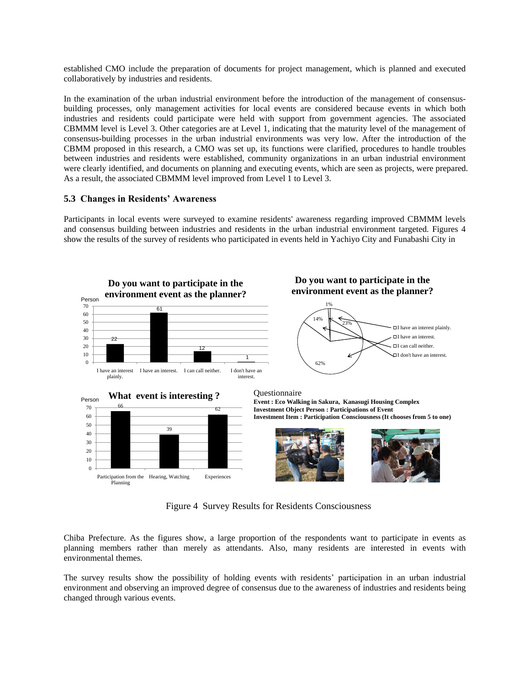established CMO include the preparation of documents for project management, which is planned and executed collaboratively by industries and residents.

In the examination of the urban industrial environment before the introduction of the management of consensusbuilding processes, only management activities for local events are considered because events in which both industries and residents could participate were held with support from government agencies. The associated CBMMM level is Level 3. Other categories are at Level 1, indicating that the maturity level of the management of consensus-building processes in the urban industrial environments was very low. After the introduction of the CBMM proposed in this research, a CMO was set up, its functions were clarified, procedures to handle troubles between industries and residents were established, community organizations in an urban industrial environment were clearly identified, and documents on planning and executing events, which are seen as projects, were prepared. As a result, the associated CBMMM level improved from Level 1 to Level 3.

### **5.3 Changes in Residents' Awareness**

Participants in local events were surveyed to examine residents' awareness regarding improved CBMMM levels and consensus building between industries and residents in the urban industrial environment targeted. Figures 4 show the results of the survey of residents who participated in events held in Yachiyo City and Funabashi City in



Figure 4 Survey Results for Residents Consciousness

Chiba Prefecture. As the figures show, a large proportion of the respondents want to participate in events as planning members rather than merely as attendants. Also, many residents are interested in events with environmental themes.

The survey results show the possibility of holding events with residents' participation in an urban industrial environment and observing an improved degree of consensus due to the awareness of industries and residents being changed through various events.